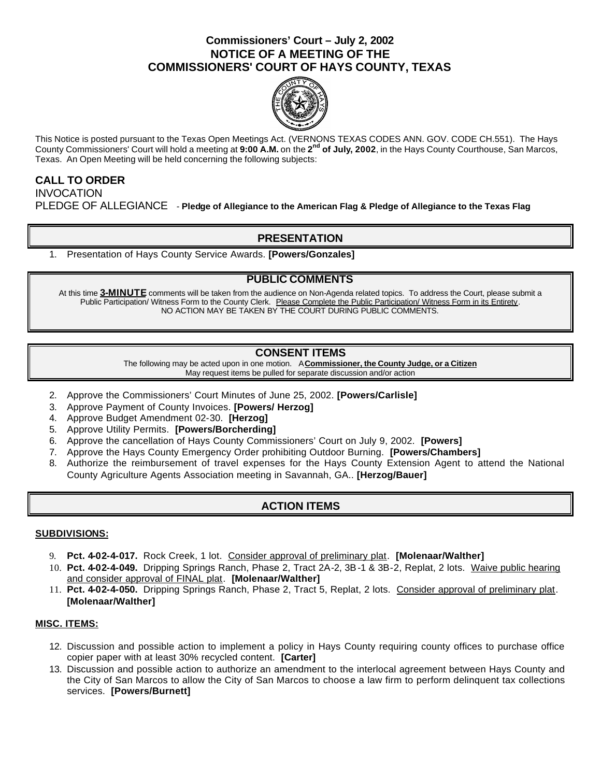### **Commissioners' Court – July 2, 2002 NOTICE OF A MEETING OF THE COMMISSIONERS' COURT OF HAYS COUNTY, TEXAS**



This Notice is posted pursuant to the Texas Open Meetings Act. (VERNONS TEXAS CODES ANN. GOV. CODE CH.551). The Hays County Commissioners' Court will hold a meeting at **9:00 A.M.** on the **2 nd of July, 2002**, in the Hays County Courthouse, San Marcos, Texas. An Open Meeting will be held concerning the following subjects:

# **CALL TO ORDER INVOCATION** PLEDGE OF ALLEGIANCE - **Pledge of Allegiance to the American Flag & Pledge of Allegiance to the Texas Flag**

## **PRESENTATION**

1. Presentation of Hays County Service Awards. **[Powers/Gonzales]**

### **PUBLIC COMMENTS**

At this time **3-MINUTE** comments will be taken from the audience on Non-Agenda related topics. To address the Court, please submit a Public Participation/ Witness Form to the County Clerk. Please Complete the Public Participation/ Witness Form in its Entirety. NO ACTION MAY BE TAKEN BY THE COURT DURING PUBLIC COMMENTS.

### **CONSENT ITEMS**

The following may be acted upon in one motion. A **Commissioner, the County Judge, or a Citizen** May request items be pulled for separate discussion and/or action

- 2. Approve the Commissioners' Court Minutes of June 25, 2002. **[Powers/Carlisle]**
- 3. Approve Payment of County Invoices. **[Powers/ Herzog]**
- 4. Approve Budget Amendment 02-30. **[Herzog]**
- 5. Approve Utility Permits. **[Powers/Borcherding]**
- 6. Approve the cancellation of Hays County Commissioners' Court on July 9, 2002. **[Powers]**
- 7. Approve the Hays County Emergency Order prohibiting Outdoor Burning. **[Powers/Chambers]**
- 8. Authorize the reimbursement of travel expenses for the Hays County Extension Agent to attend the National County Agriculture Agents Association meeting in Savannah, GA.. **[Herzog/Bauer]**

### **ACTION ITEMS**

#### **SUBDIVISIONS:**

- 9. **Pct. 4-02-4-017.** Rock Creek, 1 lot. Consider approval of preliminary plat. **[Molenaar/Walther]**
- 10. **Pct. 4-02-4-049.** Dripping Springs Ranch, Phase 2, Tract 2A-2, 3B-1 & 3B-2, Replat, 2 lots. Waive public hearing and consider approval of FINAL plat. **[Molenaar/Walther]**
- 11. **Pct. 4-02-4-050.** Dripping Springs Ranch, Phase 2, Tract 5, Replat, 2 lots. Consider approval of preliminary plat. **[Molenaar/Walther]**

#### **MISC. ITEMS:**

- 12. Discussion and possible action to implement a policy in Hays County requiring county offices to purchase office copier paper with at least 30% recycled content. **[Carter]**
- 13. Discussion and possible action to authorize an amendment to the interlocal agreement between Hays County and the City of San Marcos to allow the City of San Marcos to choose a law firm to perform delinquent tax collections services. **[Powers/Burnett]**